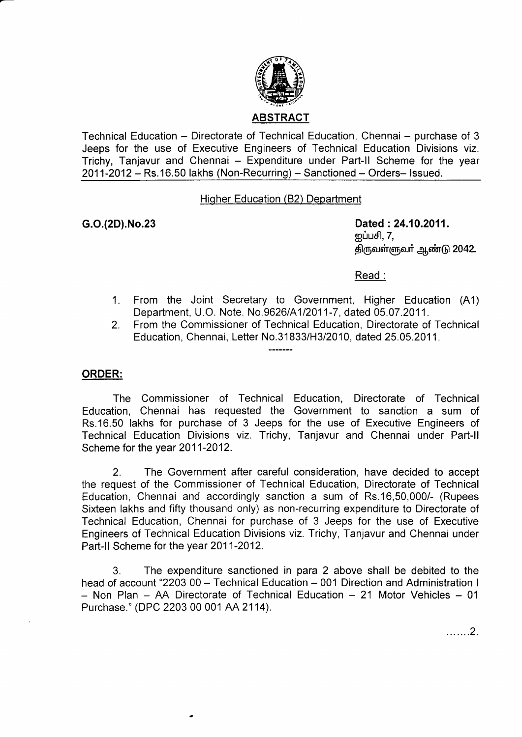

Technical Education – Directorate of Technical Education, Chennai – purchase of 3 Jeeps for the use of Executive Engineers of Technical Education Divisions viz. Trichy, Tanjavur and Chennai - Expenditure under Part-II Scheme for the year 2011-2012 - Rs.16.50 lakhs (Non-Recurring) - Sanctioned - Orders- Issued.

## Hiqher Education (82) Department

G.o.(2D).No.23 Dated :24.10.2011. னப்பசி,  $7$ , திருவள்ளுவர் ஆண்டு 2042.

Read :

- From the Joint Secretary to Government, Higher Education (A1) Department, U.O. Note. No.9626/A112011-7, dated 05.07 .2011. 1.
- From the Commissioner of Technical Education, Directorate of Technical Education, Chennai, Letter No.31833/H3/2010, dated 25.05.2011. 2.

## ORDER:

The Commissioner of Technical Education, Directorate of Technical Education, Chennai has requested the Government to sanction a sum of Rs.16.50 lakhs for purchase of 3 Jeeps for the use of Executive Engineers of Technical Education Divisions viz. Trichy, Tanjavur and Chennai under Part-ll Scheme for the year 2011-2012.

 $- - - - - - -$ 

2. The Government after careful consideration, have decided to accept the request of the Commissioner of Technical Education, Directorate of Technical Education, Chennai and accordingly sanction a sum of Rs.16,50,000/- (Rupees Sixteen lakhs and fifty thousand only) as non-recurring expenditure to Directorate of Technical Education, Chennai for purchase of 3 Jeeps for the use of Executive Engineers of Technical Education Divisions viz. Trichy, Tanjavur and Chennai under Part-ll Scheme for the year 2011-2012.

3. The expenditure sanctioned in para 2 above shall be debited to the head of account "2203 00 - Technical Education - 001 Direction and Administration I  $-$  Non Plan  $-$  AA Directorate of Technical Education  $-$  21 Motor Vehicles  $-$  01 Purchase." (DPC 2203 00 001 AA 2114).

. . . . . . . 2.